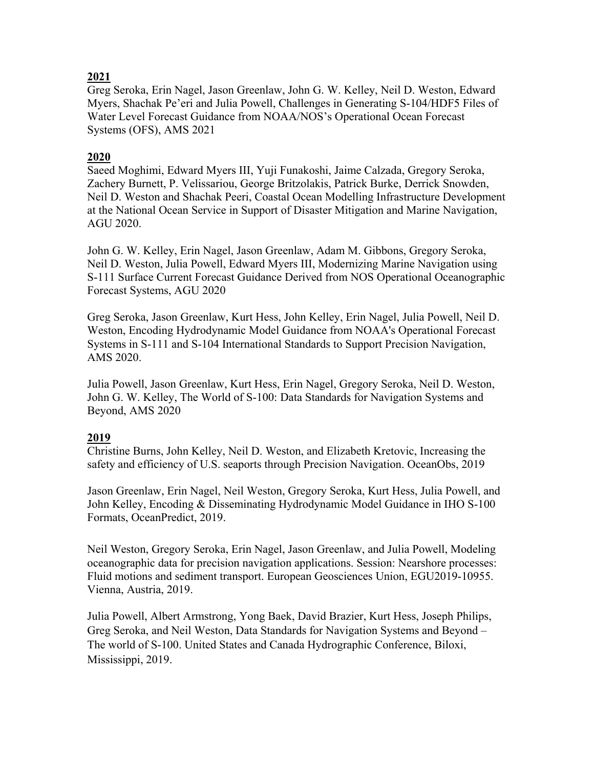## **2021**

Greg Seroka, Erin Nagel, Jason Greenlaw, John G. W. Kelley, Neil D. Weston, Edward Myers, Shachak Pe'eri and Julia Powell, Challenges in Generating S-104/HDF5 Files of Water Level Forecast Guidance from NOAA/NOS's Operational Ocean Forecast Systems (OFS), AMS 2021

## **2020**

Saeed Moghimi, Edward Myers III, Yuji Funakoshi, Jaime Calzada, Gregory Seroka, Zachery Burnett, P. Velissariou, George Britzolakis, Patrick Burke, Derrick Snowden, Neil D. Weston and Shachak Peeri, Coastal Ocean Modelling Infrastructure Development at the National Ocean Service in Support of Disaster Mitigation and Marine Navigation, AGU 2020.

John G. W. Kelley, Erin Nagel, Jason Greenlaw, Adam M. Gibbons, Gregory Seroka, Neil D. Weston, Julia Powell, Edward Myers III, Modernizing Marine Navigation using S-111 Surface Current Forecast Guidance Derived from NOS Operational Oceanographic Forecast Systems, AGU 2020

Greg Seroka, Jason Greenlaw, Kurt Hess, John Kelley, Erin Nagel, Julia Powell, Neil D. Weston, Encoding Hydrodynamic Model Guidance from NOAA's Operational Forecast Systems in S-111 and S-104 International Standards to Support Precision Navigation, AMS 2020.

Julia Powell, Jason Greenlaw, Kurt Hess, Erin Nagel, Gregory Seroka, Neil D. Weston, John G. W. Kelley, The World of S-100: Data Standards for Navigation Systems and Beyond, AMS 2020

## **2019**

Christine Burns, John Kelley, Neil D. Weston, and Elizabeth Kretovic, Increasing the safety and efficiency of U.S. seaports through Precision Navigation. OceanObs, 2019

Jason Greenlaw, Erin Nagel, Neil Weston, Gregory Seroka, Kurt Hess, Julia Powell, and John Kelley, Encoding & Disseminating Hydrodynamic Model Guidance in IHO S-100 Formats, OceanPredict, 2019.

Neil Weston, Gregory Seroka, Erin Nagel, Jason Greenlaw, and Julia Powell, Modeling oceanographic data for precision navigation applications. Session: Nearshore processes: Fluid motions and sediment transport. European Geosciences Union, EGU2019-10955. Vienna, Austria, 2019.

Julia Powell, Albert Armstrong, Yong Baek, David Brazier, Kurt Hess, Joseph Philips, Greg Seroka, and Neil Weston, Data Standards for Navigation Systems and Beyond – The world of S-100. United States and Canada Hydrographic Conference, Biloxi, Mississippi, 2019.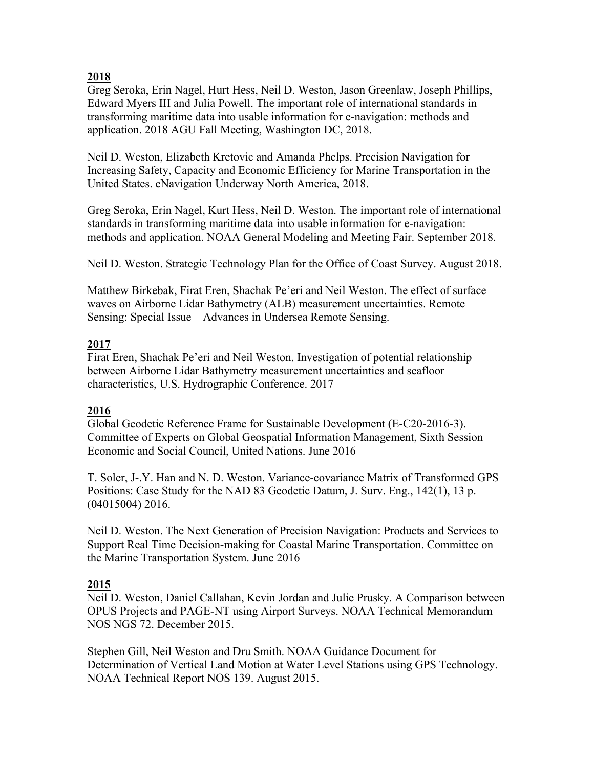## **2018**

Greg Seroka, Erin Nagel, Hurt Hess, Neil D. Weston, Jason Greenlaw, Joseph Phillips, Edward Myers III and Julia Powell. The important role of international standards in transforming maritime data into usable information for e-navigation: methods and application. 2018 AGU Fall Meeting, Washington DC, 2018.

Neil D. Weston, Elizabeth Kretovic and Amanda Phelps. Precision Navigation for Increasing Safety, Capacity and Economic Efficiency for Marine Transportation in the United States. eNavigation Underway North America, 2018.

Greg Seroka, Erin Nagel, Kurt Hess, Neil D. Weston. The important role of international standards in transforming maritime data into usable information for e-navigation: methods and application. NOAA General Modeling and Meeting Fair. September 2018.

Neil D. Weston. Strategic Technology Plan for the Office of Coast Survey. August 2018.

Matthew Birkebak, Firat Eren, Shachak Pe'eri and Neil Weston. The effect of surface waves on Airborne Lidar Bathymetry (ALB) measurement uncertainties. Remote Sensing: Special Issue – Advances in Undersea Remote Sensing.

## **2017**

Firat Eren, Shachak Pe'eri and Neil Weston. Investigation of potential relationship between Airborne Lidar Bathymetry measurement uncertainties and seafloor characteristics, U.S. Hydrographic Conference. 2017

# **2016**

Global Geodetic Reference Frame for Sustainable Development (E-C20-2016-3). Committee of Experts on Global Geospatial Information Management, Sixth Session – Economic and Social Council, United Nations. June 2016

T. Soler, J-.Y. Han and N. D. Weston. Variance-covariance Matrix of Transformed GPS Positions: Case Study for the NAD 83 Geodetic Datum, J. Surv. Eng., 142(1), 13 p. (04015004) 2016.

Neil D. Weston. The Next Generation of Precision Navigation: Products and Services to Support Real Time Decision-making for Coastal Marine Transportation. Committee on the Marine Transportation System. June 2016

## **2015**

Neil D. Weston, Daniel Callahan, Kevin Jordan and Julie Prusky. A Comparison between OPUS Projects and PAGE-NT using Airport Surveys. NOAA Technical Memorandum NOS NGS 72. December 2015.

Stephen Gill, Neil Weston and Dru Smith. NOAA Guidance Document for Determination of Vertical Land Motion at Water Level Stations using GPS Technology. NOAA Technical Report NOS 139. August 2015.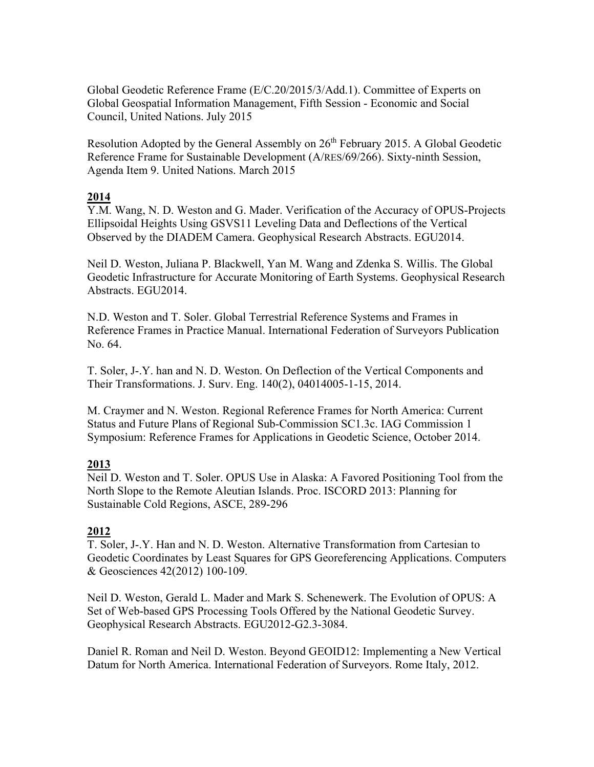Global Geodetic Reference Frame (E/C.20/2015/3/Add.1). Committee of Experts on Global Geospatial Information Management, Fifth Session - Economic and Social Council, United Nations. July 2015

Resolution Adopted by the General Assembly on 26<sup>th</sup> February 2015. A Global Geodetic Reference Frame for Sustainable Development (A/RES/69/266). Sixty-ninth Session, Agenda Item 9. United Nations. March 2015

## **2014**

Y.M. Wang, N. D. Weston and G. Mader. Verification of the Accuracy of OPUS-Projects Ellipsoidal Heights Using GSVS11 Leveling Data and Deflections of the Vertical Observed by the DIADEM Camera. Geophysical Research Abstracts. EGU2014.

Neil D. Weston, Juliana P. Blackwell, Yan M. Wang and Zdenka S. Willis. The Global Geodetic Infrastructure for Accurate Monitoring of Earth Systems. Geophysical Research Abstracts. EGU2014.

N.D. Weston and T. Soler. Global Terrestrial Reference Systems and Frames in Reference Frames in Practice Manual. International Federation of Surveyors Publication No. 64.

T. Soler, J-.Y. han and N. D. Weston. On Deflection of the Vertical Components and Their Transformations. J. Surv. Eng. 140(2), 04014005-1-15, 2014.

M. Craymer and N. Weston. Regional Reference Frames for North America: Current Status and Future Plans of Regional Sub-Commission SC1.3c. IAG Commission 1 Symposium: Reference Frames for Applications in Geodetic Science, October 2014.

## **2013**

Neil D. Weston and T. Soler. OPUS Use in Alaska: A Favored Positioning Tool from the North Slope to the Remote Aleutian Islands. Proc. ISCORD 2013: Planning for Sustainable Cold Regions, ASCE, 289-296

## **2012**

T. Soler, J-.Y. Han and N. D. Weston. Alternative Transformation from Cartesian to Geodetic Coordinates by Least Squares for GPS Georeferencing Applications. Computers & Geosciences 42(2012) 100-109.

Neil D. Weston, Gerald L. Mader and Mark S. Schenewerk. The Evolution of OPUS: A Set of Web-based GPS Processing Tools Offered by the National Geodetic Survey. Geophysical Research Abstracts. EGU2012-G2.3-3084.

Daniel R. Roman and Neil D. Weston. Beyond GEOID12: Implementing a New Vertical Datum for North America. International Federation of Surveyors. Rome Italy, 2012.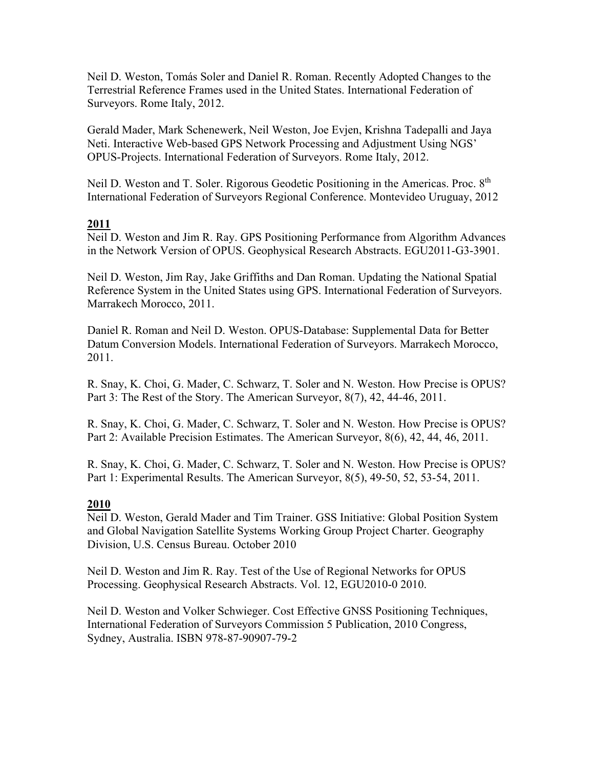Neil D. Weston, Tomás Soler and Daniel R. Roman. Recently Adopted Changes to the Terrestrial Reference Frames used in the United States. International Federation of Surveyors. Rome Italy, 2012.

Gerald Mader, Mark Schenewerk, Neil Weston, Joe Evjen, Krishna Tadepalli and Jaya Neti. Interactive Web-based GPS Network Processing and Adjustment Using NGS' OPUS-Projects. International Federation of Surveyors. Rome Italy, 2012.

Neil D. Weston and T. Soler. Rigorous Geodetic Positioning in the Americas. Proc. 8<sup>th</sup> International Federation of Surveyors Regional Conference. Montevideo Uruguay, 2012

## **2011**

Neil D. Weston and Jim R. Ray. GPS Positioning Performance from Algorithm Advances in the Network Version of OPUS. Geophysical Research Abstracts. EGU2011-G3-3901.

Neil D. Weston, Jim Ray, Jake Griffiths and Dan Roman. Updating the National Spatial Reference System in the United States using GPS. International Federation of Surveyors. Marrakech Morocco, 2011.

Daniel R. Roman and Neil D. Weston. OPUS-Database: Supplemental Data for Better Datum Conversion Models. International Federation of Surveyors. Marrakech Morocco, 2011.

R. Snay, K. Choi, G. Mader, C. Schwarz, T. Soler and N. Weston. How Precise is OPUS? Part 3: The Rest of the Story. The American Surveyor, 8(7), 42, 44-46, 2011.

R. Snay, K. Choi, G. Mader, C. Schwarz, T. Soler and N. Weston. How Precise is OPUS? Part 2: Available Precision Estimates. The American Surveyor, 8(6), 42, 44, 46, 2011.

R. Snay, K. Choi, G. Mader, C. Schwarz, T. Soler and N. Weston. How Precise is OPUS? Part 1: Experimental Results. The American Surveyor, 8(5), 49-50, 52, 53-54, 2011.

## **2010**

Neil D. Weston, Gerald Mader and Tim Trainer. GSS Initiative: Global Position System and Global Navigation Satellite Systems Working Group Project Charter. Geography Division, U.S. Census Bureau. October 2010

Neil D. Weston and Jim R. Ray. Test of the Use of Regional Networks for OPUS Processing. Geophysical Research Abstracts. Vol. 12, EGU2010-0 2010.

Neil D. Weston and Volker Schwieger. Cost Effective GNSS Positioning Techniques, International Federation of Surveyors Commission 5 Publication, 2010 Congress, Sydney, Australia. ISBN 978-87-90907-79-2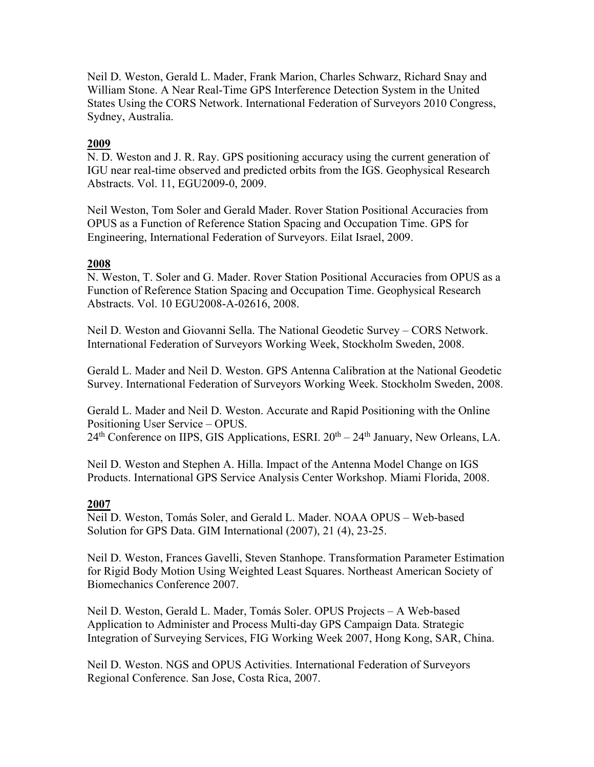Neil D. Weston, Gerald L. Mader, Frank Marion, Charles Schwarz, Richard Snay and William Stone. A Near Real-Time GPS Interference Detection System in the United States Using the CORS Network. International Federation of Surveyors 2010 Congress, Sydney, Australia.

## **2009**

N. D. Weston and J. R. Ray. GPS positioning accuracy using the current generation of IGU near real-time observed and predicted orbits from the IGS. Geophysical Research Abstracts. Vol. 11, EGU2009-0, 2009.

Neil Weston, Tom Soler and Gerald Mader. Rover Station Positional Accuracies from OPUS as a Function of Reference Station Spacing and Occupation Time. GPS for Engineering, International Federation of Surveyors. Eilat Israel, 2009.

## **2008**

N. Weston, T. Soler and G. Mader. Rover Station Positional Accuracies from OPUS as a Function of Reference Station Spacing and Occupation Time. Geophysical Research Abstracts. Vol. 10 EGU2008-A-02616, 2008.

Neil D. Weston and Giovanni Sella. The National Geodetic Survey – CORS Network. International Federation of Surveyors Working Week, Stockholm Sweden, 2008.

Gerald L. Mader and Neil D. Weston. GPS Antenna Calibration at the National Geodetic Survey. International Federation of Surveyors Working Week. Stockholm Sweden, 2008.

Gerald L. Mader and Neil D. Weston. Accurate and Rapid Positioning with the Online Positioning User Service – OPUS.

 $24<sup>th</sup>$  Conference on IIPS, GIS Applications, ESRI.  $20<sup>th</sup> - 24<sup>th</sup>$  January, New Orleans, LA.

Neil D. Weston and Stephen A. Hilla. Impact of the Antenna Model Change on IGS Products. International GPS Service Analysis Center Workshop. Miami Florida, 2008.

## **2007**

Neil D. Weston, Tomás Soler, and Gerald L. Mader. NOAA OPUS – Web-based Solution for GPS Data. GIM International (2007), 21 (4), 23-25.

Neil D. Weston, Frances Gavelli, Steven Stanhope. Transformation Parameter Estimation for Rigid Body Motion Using Weighted Least Squares. Northeast American Society of Biomechanics Conference 2007.

Neil D. Weston, Gerald L. Mader, Tomás Soler. OPUS Projects – A Web-based Application to Administer and Process Multi-day GPS Campaign Data. Strategic Integration of Surveying Services, FIG Working Week 2007, Hong Kong, SAR, China.

Neil D. Weston. NGS and OPUS Activities. International Federation of Surveyors Regional Conference. San Jose, Costa Rica, 2007.